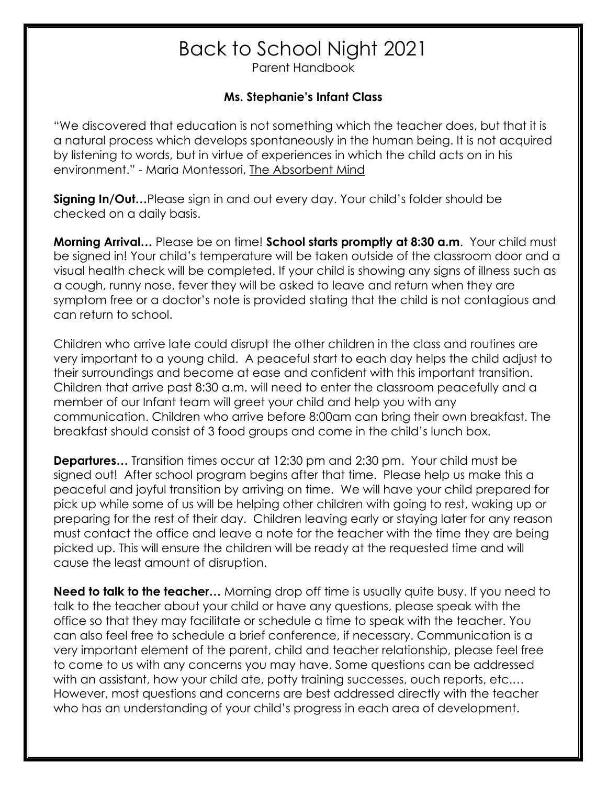## Back to School Night 2021

Parent Handbook

## **Ms. Stephanie's Infant Class**

"We discovered that education is not something which the teacher does, but that it is a natural process which develops spontaneously in the human being. It is not acquired by listening to words, but in virtue of experiences in which the child acts on in his environment." - Maria Montessori, The Absorbent Mind

**Signing In/Out…**Please sign in and out every day. Your child's folder should be checked on a daily basis.

**Morning Arrival…** Please be on time! **School starts promptly at 8:30 a.m**. Your child must be signed in! Your child's temperature will be taken outside of the classroom door and a visual health check will be completed. If your child is showing any signs of illness such as a cough, runny nose, fever they will be asked to leave and return when they are symptom free or a doctor's note is provided stating that the child is not contagious and can return to school.

Children who arrive late could disrupt the other children in the class and routines are very important to a young child. A peaceful start to each day helps the child adjust to their surroundings and become at ease and confident with this important transition. Children that arrive past 8:30 a.m. will need to enter the classroom peacefully and a member of our Infant team will greet your child and help you with any communication. Children who arrive before 8:00am can bring their own breakfast. The breakfast should consist of 3 food groups and come in the child's lunch box.

**Departures…** Transition times occur at 12:30 pm and 2:30 pm. Your child must be signed out! After school program begins after that time. Please help us make this a peaceful and joyful transition by arriving on time. We will have your child prepared for pick up while some of us will be helping other children with going to rest, waking up or preparing for the rest of their day. Children leaving early or staying later for any reason must contact the office and leave a note for the teacher with the time they are being picked up. This will ensure the children will be ready at the requested time and will cause the least amount of disruption.

**Need to talk to the teacher...** Morning drop off time is usually quite busy. If you need to talk to the teacher about your child or have any questions, please speak with the office so that they may facilitate or schedule a time to speak with the teacher. You can also feel free to schedule a brief conference, if necessary. Communication is a very important element of the parent, child and teacher relationship, please feel free to come to us with any concerns you may have. Some questions can be addressed with an assistant, how your child ate, potty training successes, ouch reports, etc.... However, most questions and concerns are best addressed directly with the teacher who has an understanding of your child's progress in each area of development.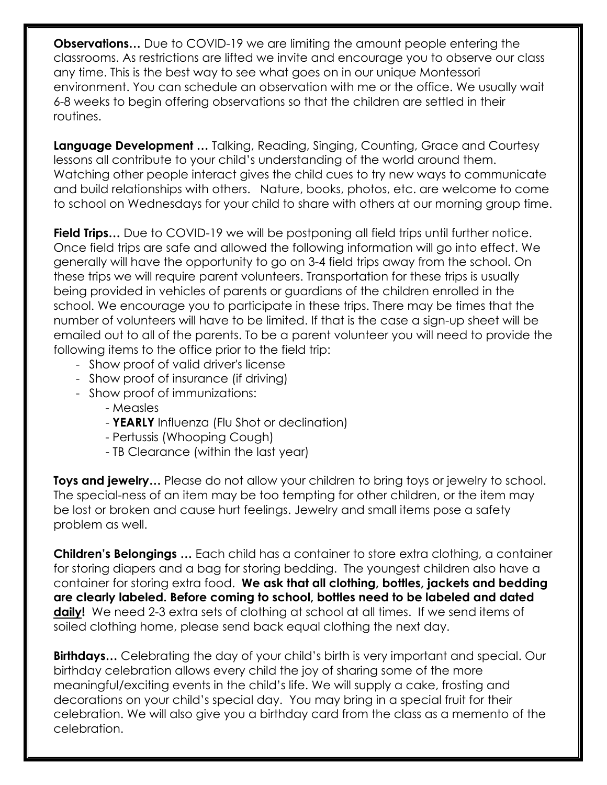**Observations…** Due to COVID-19 we are limiting the amount people entering the classrooms. As restrictions are lifted we invite and encourage you to observe our class any time. This is the best way to see what goes on in our unique Montessori environment. You can schedule an observation with me or the office. We usually wait 6-8 weeks to begin offering observations so that the children are settled in their routines.

**Language Development …** Talking, Reading, Singing, Counting, Grace and Courtesy lessons all contribute to your child's understanding of the world around them. Watching other people interact gives the child cues to try new ways to communicate and build relationships with others. Nature, books, photos, etc. are welcome to come to school on Wednesdays for your child to share with others at our morning group time.

**Field Trips…** Due to COVID-19 we will be postponing all field trips until further notice. Once field trips are safe and allowed the following information will go into effect. We generally will have the opportunity to go on 3-4 field trips away from the school. On these trips we will require parent volunteers. Transportation for these trips is usually being provided in vehicles of parents or guardians of the children enrolled in the school. We encourage you to participate in these trips. There may be times that the number of volunteers will have to be limited. If that is the case a sign-up sheet will be emailed out to all of the parents. To be a parent volunteer you will need to provide the following items to the office prior to the field trip:

- Show proof of valid driver's license
- Show proof of insurance (if driving)
- Show proof of immunizations:
	- Measles
	- **YEARLY** Influenza (Flu Shot or declination)
	- Pertussis (Whooping Cough)
	- TB Clearance (within the last year)

**Toys and jewelry...** Please do not allow your children to bring toys or jewelry to school. The special-ness of an item may be too tempting for other children, or the item may be lost or broken and cause hurt feelings. Jewelry and small items pose a safety problem as well.

**Children's Belongings …** Each child has a container to store extra clothing, a container for storing diapers and a bag for storing bedding. The youngest children also have a container for storing extra food. **We ask that all clothing, bottles, jackets and bedding are clearly labeled. Before coming to school, bottles need to be labeled and dated daily!** We need 2-3 extra sets of clothing at school at all times. If we send items of soiled clothing home, please send back equal clothing the next day.

**Birthdays…** Celebrating the day of your child's birth is very important and special. Our birthday celebration allows every child the joy of sharing some of the more meaningful/exciting events in the child's life. We will supply a cake, frosting and decorations on your child's special day. You may bring in a special fruit for their celebration. We will also give you a birthday card from the class as a memento of the celebration.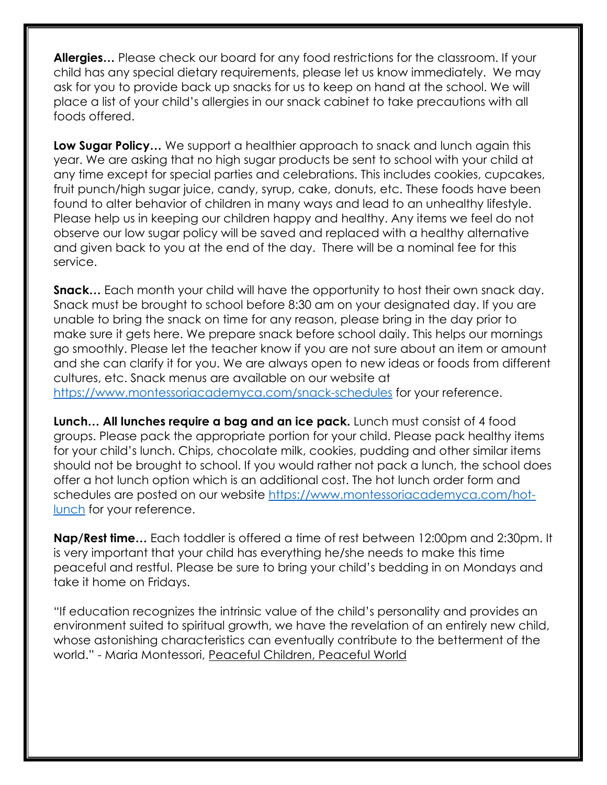**Allergies…** Please check our board for any food restrictions for the classroom. If your child has any special dietary requirements, please let us know immediately. We may ask for you to provide back up snacks for us to keep on hand at the school. We will place a list of your child's allergies in our snack cabinet to take precautions with all foods offered.

**Low Sugar Policy…** We support a healthier approach to snack and lunch again this year. We are asking that no high sugar products be sent to school with your child at any time except for special parties and celebrations. This includes cookies, cupcakes, fruit punch/high sugar juice, candy, syrup, cake, donuts, etc. These foods have been found to alter behavior of children in many ways and lead to an unhealthy lifestyle. Please help us in keeping our children happy and healthy. Any items we feel do not observe our low sugar policy will be saved and replaced with a healthy alternative and given back to you at the end of the day. There will be a nominal fee for this service.

**Snack…** Each month your child will have the opportunity to host their own snack day. Snack must be brought to school before 8:30 am on your designated day. If you are unable to bring the snack on time for any reason, please bring in the day prior to make sure it gets here. We prepare snack before school daily. This helps our mornings go smoothly. Please let the teacher know if you are not sure about an item or amount and she can clarify it for you. We are always open to new ideas or foods from different cultures, etc. Snack menus are available on our website at https://www.montessoriacademyca.com/snack-schedules for your reference.

**Lunch… All lunches require a bag and an ice pack.** Lunch must consist of 4 food groups. Please pack the appropriate portion for your child. Please pack healthy items for your child's lunch. Chips, chocolate milk, cookies, pudding and other similar items should not be brought to school. If you would rather not pack a lunch, the school does offer a hot lunch option which is an additional cost. The hot lunch order form and schedules are posted on our website https://www.montessoriacademyca.com/hotlunch for your reference.

**Nap/Rest time…** Each toddler is offered a time of rest between 12:00pm and 2:30pm. It is very important that your child has everything he/she needs to make this time peaceful and restful. Please be sure to bring your child's bedding in on Mondays and take it home on Fridays.

"If education recognizes the intrinsic value of the child's personality and provides an environment suited to spiritual growth, we have the revelation of an entirely new child, whose astonishing characteristics can eventually contribute to the betterment of the world." - Maria Montessori, Peaceful Children, Peaceful World